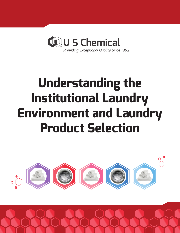

# **Understanding the Institutional Laundry Environment and Laundry Product Selection**



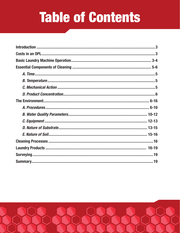# **Table of Contents**

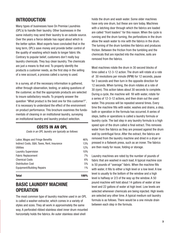# INTRODUCTION

Many types of businesses have On Premise Laundries (OPL's) to handle their laundry. Other businesses in the same industry may send their laundry to an outside source. Over the years a fierce debate has raged about which is the better option. Most experts have concluded that in the long term, OPL's save money and provide better control of the quality of washing which leads to longer fabric life. Contrary to popular belief, customers don't really buy laundry chemicals. They buy clean laundry. The chemicals are just a means to that end. To properly identify the products a customer needs, as the first step in the selling of a new account, a process called a survey is used.

In a survey, all of the necessary information is gathered, either through observation, testing, or asking questions of the customer, so that the appropriate products are selected to insure satisfactory results. To properly answer the question "What product is the best one for this customer?", it is necessary to understand the effect of the environment on product performance. This brochure examines the fundamentals of cleaning in an institutional laundry, surveying an institutional laundry and laundry product selection.

# COSTS IN AN OPL

*Costs in an OPL laundry are typically as follows:*

| Labor, Wages and Fringe Benefits            | 46%   |
|---------------------------------------------|-------|
| Indirect Costs, G&A, Taxes, Rent, Insurance | 13%   |
| Utilities                                   | 12%   |
| <b>Laundry Supervision</b>                  | 10%   |
| <b>Fabric Replacement</b>                   | 7%    |
| <b>Chemical Costs</b>                       | 6%    |
| <b>Distribution Cost</b>                    | 5%    |
| <b>Equipment/Building Repairs</b>           | $1\%$ |
|                                             |       |

Total 100%

# BASIC LAUNDRY MACHINE **OPERATION**

The most common type of laundry machine used in an OPL is called a washer-extractor, which comes in a variety of styles and sizes. They all work in approximately the same way. A perforated ribbed stainless steel inner drum mounted horizontally holds the fabrics. An outer stainless steel shell

holds the drum and wash water. Some older machines have only one drum, but these are rare today. Machines with a latching door through which the fabrics are loaded are called "front loaders" for this reason. When the cycle is running and the drum turning, the perforations in the drum allow the wash water to mix with the fabrics in the drum. The turning of the drum tumbles the fabrics and produces friction. Between the friction from the tumbling and the chemicals that are injected into the machine, soils are removed from the fabrics.

Most machines rotate the drum in 30 second blocks of time called a 12-3-12 action. The drum will rotate at a rate of 30 revolutions per minute (RPM) for 12 seconds, pause for 3 seconds and then turn in the opposite direction for 12 seconds. When turning, the drum rotates at a rate of 30 (rpm). This action takes about 30 seconds to complete. During a cycle, the machine will fill with water, rotate for a series of 12-3-12 actions, and then drain out the used water. This process will be repeated several times. Every time the machine fills with water, washes and drains, a step, bath or operation in the formula has occurred. A series of steps, baths or operations is called a laundry formula or laundry cycle. The last step in any laundry formula is a high speed spin of the drum called a final extract. This removes water from the fabrics as they are pressed against the drum wall by centrifugal force. After the extract, the fabrics are removed from the laundry machine and dried in a dryer or pressed in a flatwork press, such as an ironer. The fabrics are then ready for reuse, folding or storage.

Laundry machines are rated by the number of pounds of fabric that are washed in each load. A typical machine size is 50 pounds of "average" fabric. When the machine fills with water, it fills to either a high level or a low level. A low level is usually to the bottom of the window and a high level is halfway or 2/3 of the way up the window. A 50 pound machine will hold about 14 gallons of water at low level and 22 gallons of water at high level. Low levels are selected whenever chemicals are being injected. High levels are selected any other time. A typical medium soil laundry formula is as follows. There would be a one minute drain between each step in the formula.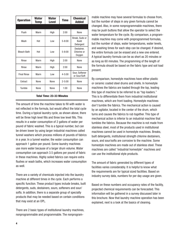| <b>Operation</b>   | Water<br>Temp | Water<br><b>Level</b> | <b>Time</b> | <b>Chemical</b><br><b>Added</b>             |
|--------------------|---------------|-----------------------|-------------|---------------------------------------------|
|                    |               |                       |             |                                             |
| Flush              | Warm          | High                  | 2:00        | None                                        |
| Wash               | Hot           | Low                   | $5 - 8:00$  | Break, Suds or<br><b>Build</b><br>Detergent |
| <b>Bleach Bath</b> | Hot           | Low                   | $5 - 8:00$  | Destainer.<br>Chlorine or<br>Oxygen         |
| Rinse              | Warm          | High                  | 2:00        | None                                        |
| Rinse              | Warm          | High                  | 2:00        | None                                        |
| <b>Final Rinse</b> | Warm          | Low                   | $4 - 5:00$  | Sour, Softener<br>or Sour/Soft              |
| Extract            | None          | None                  | $2 - 5:00$  | None                                        |
| Tumble             | None          | None                  | 1:00        | None                                        |

#### Total Time: 23-33 Minutes

The amount of time the machine takes to fill with water is not reflected in the formula, but would affect the total cycle time. During a typical laundry cycle, as shown above, there will be three high level fills and three low level fills. This results in a water consumption of 2 gallons of water per pound of fabric washed. This is a typical number, but can be driven lower by using larger industrial machines called tunnel washers which process millions of pounds of fabrics in a year. In a tunnel washer, the water consumption can approach 1 gallon per pound. Some laundry machines use more water because of a larger drum volume. Water consumption can approach 3.5 gallons per pound of fabric in these machines. Highly soiled fabrics can require extra flushes or wash baths, which increases water consumption as well.

There are a variety of chemicals injected into the laundry machine at different times in the cycle. Each performs a specific function. These product types include breaks, built detergents, suds, destainers, sours, softeners and sour/ softs. In addition, there is a separate group of specialty products that may be needed based on certain conditions that may exist at an OPL.

There are 2 basic types of institutional laundry machines, nonprogrammable and programmable. The nonprogram-

mable machine may have several formulas to choose from, but the number of steps in any given formula cannot be changed. Also, in some nonprogrammable machines, there may be push buttons that allow the operator to select the water temperature for the cycle. By comparison, a programmable machine may come with preprogrammed formulas, but the number of steps, water temperatures, water levels, and washing times for each step can be changed. If desired, the entire formula can be erased and a new one entered. A typical laundry formula can be as short as 20 minutes or as long as 60 minutes. The programming of the length of the formula should be based on the fabric type and soil load present.

By comparison, homestyle machines have either plastic or ceramic coated steel drums and shells. In homestyle machines the fabrics are loaded through the top, leading this type of machine to be referred to as "top loaders." This is to differentiate them from industrial institutional machines, which are front loading. Homestyle machines don't tumble the fabrics. The mechanical action is caused by an agitator, located in the center of the drum, which turns and causes the fabrics to rub together. This type of mechanical action is inferior to an industrial machine that tumbles the fabrics. Because the machine is not made from stainless steel, most of the products used in institutional machines cannot be used in homestyle machines. Breaks, built detergents, institutional strength chlorine destainers, sours, and sour/softs are corrosive to the machine. Some homestyle machines are made out of stainless steel. These machines are called "industrial homestyle" machines and can use the institutional style products.

The amount of fabric generated by different types of facilities varies considerably. It is helpful to know what the requirements are for typical sized facilities. Based on industry survey data, numbers for per day usage are given.

Based on these numbers and occupancy rates of the facility, projected chemical requirements can be forecasted. This information will be gathered in a survey discussed later in this brochure. Now that laundry machine operation has been explained, next is a look at the basics of cleaning.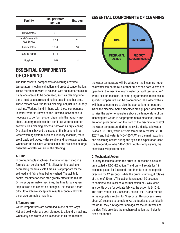| <b>Facility</b>                           | Ibs. per room<br>per day | Ibs. avg |  |
|-------------------------------------------|--------------------------|----------|--|
|                                           |                          |          |  |
| Hotels/Motels                             | $6-9$                    | 8        |  |
| Hotels/Motels with<br><b>Food Service</b> | $9 - 13$                 |          |  |
| <b>Luxury Hotels</b>                      | $16 - 22$                | 18       |  |
| <b>Nursing Homes</b>                      | $8 - 14$                 | 11       |  |
| <b>Hospitals</b>                          | $11 - 16$                | 14       |  |

# ESSENTIAL COMPONENTS OF CLEANING

The four essential components of cleaning are: time, temperature, mechanical action and product concentration. These four factors work in balance with each other to clean. If any one area is to be decreased, such as cleaning time, there must be a corresponding increase in another area. These factors hold true for all cleaning, not just in a laundry machine. Working hand-in-hand with these components is water. Water is known as the universal solvent and is necessary to perform proper cleaning in the laundry machine. Laundry machines that don't use water use other solvents. This cleaning process is known as dry cleaning. Dry cleaning is beyond the scope of this brochure. In a water washing system, such as a laundry machine, there are 2 basic soil types: water soluble and non-water soluble. Whenever the soils are water soluble, the presence of large quantities ofwater will aid in the cleaning.

# A. Time

In programmable machines, the time for each step in a formula can be changed. This allows for increasing or decreasing the total cycle time as is appropriate for the soil load and fabric type being washed. The ability to control the time for each step greatly affects the results. On nonprogrammable machines, the time for any given step is fixed and cannot be changed. This makes it more difficult to achieve acceptable results economically with a nonprogrammable machine.

# B.Temperature

Water temperatures are controlled in one of two ways. Hot and cold water are both plumbed to a laundry machine. When only one water valve is opened to fill the machine,

# **ESSENTIAL COMPONENTS OF CLEANING**



the water temperature will be whatever the incoming hot or cold water temperature is at that time. When both valves are open to fill the machine, warm water, or "split temperature" water, fills the machine. In some programmable machines, a specific temperature can be programmed. The water valves will then be controlled to give the appropriate temperature inside the machine. Some machines are equipped with steam to raise the water temperature above the temperature of the incoming hot water. In nonprogrammable machines, there are often push buttons on the front of the machine to control the water temperature during the cycle. Ideally, cold water is about 60–80°F, warm or "split temperature" water is 100– 120°F and hot water is 140–160°F. When the main washing and bleaching occurs during the cycle, the expectation is for the temperature to be 140–160°F. At this temperature, the chemicals will perform best.

## C. Mechanical Action

Laundry machines rotate the drum in 30 second blocks of time called a 12-3-12 action. The drum will rotate for 12 seconds, pause for 3 seconds and then turn in the opposite direction for 12 seconds. While the drum is turning, it rotates at a rate of 30 rpm. This action takes about 30 seconds to complete and is called a normal action or 2 way wash. In a gentle cycle for delicate fabrics, the action is 3-12-3. The drum rotates for 3 seconds, pauses for 12, and rotates in the opposite direction for 3 seconds. This process takes about 20 seconds to complete. As the fabrics are tumbled in the drum, they rub together and against the drum wall and the ribs. This provides the mechanical action that helps to clean the fabrics.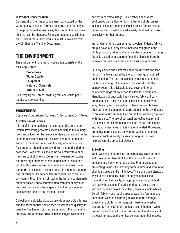## D. Product Concentration

Concentrations for the products used vary based on the water quality, soil load, formula being run, and fabric type. In nonprogrammable machines, this is often the only variable that can be changed. For recommended use dilutions for US Chemical laundry products, a list is available from the US Chemical Training Department.

# THE ENVIRONMENT

The environment for a laundry operation consists of the following 5 areas.

> Procedures Water Quality **Equipment** Nature of Substrate Nature of Soil

By surveying all 5 areas, anything that can cause poor results can be identified.

# PROCEDURES

*There are 7 procedures that need to be surveyed as follows:*

## 1. Collection of Fabrics

It is helpful if the fabrics are presorted at the time of collection. Presorting prevents excess handling in the laundry room and allows for the removal of items that should not be laundered, such as glasses, scissors and other items that end up in the fabric. In nursing homes, large amounts of fecal material should be removed from the fabrics during collection. Soiled fabrics should be collected with a minimum amount of shaking. Excessive movement of fabrics that have high numbers of microorganisms present can result in thousands of bacteria becoming airborne. Once the fabric is collected, it should be put in a hamper, laundry bag, or other device to facilitate transportation to the laundry room without the risk of having the laundry contaminate other surfaces. Fabric contaminated with potentially infectious microorganisms have special handling procedures as described later in the "sorting" section.

Collection should take place as quickly as possible after use and the soiled fabrics should then be washed as quickly as possible. The longer soils remain in fabrics, the more difficult they are to remove. This results in longer cycle times

are put down a laundry chute, bacteria can grow in the chute producing odors and an unsanitary condition. If damp fabric is placed on a concrete floor, the alkalinity from the cement creates a stain that cannot easily be removed.

> Laundry chutes and carts may have "burrs" that can tear fabrics. The tears caused by the burrs may go unnoticed until finishing. This can be avoided by using bags to hold the fabrics during collection and transportation to the laundry room. It is advisable to use several different color coded bags for collection to allow for sorting and identification of unusually heavily soiled fabrics. If carts are being used, they should be plastic lined to allow for easy cleaning and disinfection, or have removable liners that can then be laundered. Carts should not be overloaded to prevent fabrics from spilling on the floor or being run over with the carts. The use of personal protective equipment (PPE) while fabrics are being collected, sorted and loaded into laundry machines is highly recommended. Gloves and protective aprons should be worn as well as protective eyewear, such as safety glasses or goggles. This will help prevent the spread of disease.

and extra chemical usage. Soiled fabrics should not be dropped on the floor or down a laundry chute, unless inside a collection container. Finally, soiled fabrics should be transported in well covered, clearly identified carts used

Wet or damp fabrics can be a real problem. If damp fabrics

exclusively for that purpose.

## 2. Sorting

While washing all fabrics on an extra heavy wash formula will clean better than 99.9% of the fabrics, this is not an economical way to run a laundry. By presorting and pretreating fabrics, the washing formula time and amount of chemicals used can be minimized. There are three standard ways to sort fabric: by color, fabric type and soil load. Depending on the facility, an appropriate sorting method can easily be chosen. If fabrics of different colors are washed together, colors may bleed, especially onto whites. Certain fabric types require special washing formulas and need to be washed separately to avoid fabric damage. Greasy terry cloth kitchen rags will need to be washed separately from VISA table napkins, even if both are white. Sorting by soil load allows for maximizing the efficiency of the wash formula and chemical concentration being used.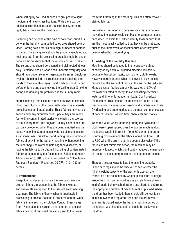When sorting by soil load, fabrics are grouped into light. medium and heavy classifications. While there can be additional classifications, such as extra heavy, or extra light, these three are the most basic.

Presorting can be done at the time of collection, but if it is done in the laundry room, a dedicated area should be provided. Sorting soiled fabrics puts high numbers of bacteria in the air. The sorting area should be properly ventilated and kept separate from the processing area. It should be under negative air pressure so that the air does not recirculate. The sorting area should be cleaned and disinfected at least daily. Personnel should wear clean uniforms every day and should report open sores or respiratory illnesses. Employee hygiene should include instructions on not touching their hands to their mouth or eyes. Hand washing should occur before entering and upon leaving the sorting area. Smoking, eating and drinking are prohibited in the laundry room.

Fabrics coming from isolation rooms or known to contain blood, body fluids or other potentially infectious materials are called contaminated fabrics. These fabrics may not be sorted under any circumstances. Special bags are made for holding contaminated fabrics while being transported to the laundry room. The bags are usually color coded and can only be opened when they are being emptied into the laundry machine. Sometimes a water soluble bag is used as an inner liner. This allows for dumping the contaminated fabrics directly into the laundry machine without opening the inner bag. The water soluble bag then dissolves, allowing the fabrics to be cleaned. Handling of contaminated fabrics is regulated by the Occupational Safety and Health Administration (OSHA) under a law called the "Bloodborne Pathogen Standard." Please see 29 CFR 1910.1030 for details.

## 3. Pretreatment

Prespotting and presoaking are the two basic ways to pretreat fabrics. In prespotting, the fabric is wetted, and chemicals are applied to the discrete areas needing treatment. The fabric is then washed immediately. In presoaking, a presoak solution is prepared and the whole fabric is immersed in the solution. Contact times range from 15 minutes. to overnight. It is common to presoak fabrics overnight that need rewashing and to then wash

them the first thing in the morning. This can often recover stained fabrics.

Pretreatment is important, because soils that are not removed by the laundry cycle can become permanent stains once dried. To avoid this, either identify those fabrics that are the most heavily soiled so that they can be pretreated prior to their first wash, or check fabrics after they have been washed but before drying.

#### 4. Loading of the Laundry Machine

Machines should be loaded to their correct weighted capacity of dry cloth. A 50 pound machine will hold 50 pounds of typical dry fabric, such as terry cloth towels. However, certain fabrics which are lower in bulk density require that the amount of fabric in the washer be reduced. Many polyester fabrics can only be washed at 80% of the washer's rated capacity. To avoid wasting chemicals, water and time, only launder full loads. Don't overload the machine. This reduces the mechanical action of the machine, which causes poor results and a higher reject rate. Overloading and underloading are the most common causes of poor results and wasted time, chemicals and money.

When the wash wheel is turning during the cycle and if a clock were superimposed over the laundry machine door, the fabrics would fall from 11:00 to 5:00 when the drum is turning clockwise and the fabrics would fall from 1:00 to 7:00 when the drum is turning counterclockwise. If the fabrics do not mimic this action, the machine may be improperly loaded, which significantly reduces the mechanical action of the laundry machine, leading to poor results.

There are several ways to load the machine properly. Fabric care tags should be checked to see whether the full dry weight capacity of the washer is appropriate. Fabric can then be loaded by weight, piece count or height inside the drum. Some facilities use a scale to weigh each load of fabric being washed. Others use charts to determine the appropriate number of pieces to make up a load. When the drum has been loaded, there should still be four to six inches between the top of the load and the drum wall. If your arm is placed inside the laundry machine on top of the fabrics, you should be able to touch the back wall of the drum.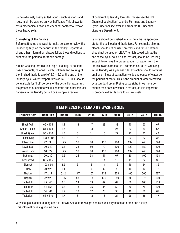Some extremely heavy soiled fabrics, such as mops and rags, might be washed only by half loads. This allows for extra mechanical action and chemical contact to remove these heavy soils.

## 5. Washing of the Fabrics

Before setting up any wash formula, be sure to review the laundering tags on the fabrics in the facility. Regardless of any other information, always follow these directions to eliminate the potential for fabric damage.

A good washing formula uses high alkalinity, surfactant based products, chlorine bleach, softener and souring of the finished fabric to a pH of  $5.5 - 6.5$  at the end of the laundry cycle. Water temperatures of 140 – 160°F should be available for "hot" portions of the cycle. Hot water and the presence of chlorine will kill bacteria and other microorganisms in the laundry cycle. For a complete review

of constructing laundry formulas, please see the U S Chemical publication "Laundry Formulas and Laundry Cycle Functionality" available from the U S Chemical Literature Department.

Fabrics should be washed in a formula that is appropriate for the soil load and fabric type. For example, chlorine bleach should not be used on colors and fabric softener should not be used on VISA. The high speed spin at the end of the cycle, called a final extract, should be just long enough to remove the proper amount of water from the fabrics. Over extraction is a common source of wrinkling in the laundry. As a general rule, extraction should continue until one minute of extraction yields one ounce of water per ten pounds of fabric. This is the amount of water removed by a standard dryer. Drying costs eight times more per minute than does a washer in extract, so it is important to properly extract fabrics to control costs.

| <b>ITEM PIECES PER LOAD BY WASHER SIZE</b> |                  |                |              |              |       |       |       |              |        |
|--------------------------------------------|------------------|----------------|--------------|--------------|-------|-------|-------|--------------|--------|
| <b>Laundry Item</b>                        | <b>Item Size</b> | <b>Unit Wt</b> | <b>18 lb</b> | <b>25 lb</b> | 35 lb | 50 lb | 60 lb | <b>75 lb</b> | 100 lb |
|                                            |                  |                |              |              |       |       |       |              |        |
| Sheet, Twin                                | 66 x 104         | 1.2            | 12           | 17           | 23    | 33    | 40    | 50           | 67     |
| Sheet, Double                              | 81 x 104         | 1.5            | 9            | 13           | 19    | 27    | 32    | 50           | 67     |
| Sheet, Queen                               | 90 x 110         | 1.8            | 8            | 11           | 16    | 22    | 27    | 33           | 44     |
| Sheet, King                                | 108 x 110        | 2.2            | 6            | 9            | 13    | 18    | 22    | 27           | 36     |
| Pillowcase                                 | 42 x 36          | 0.25           | 56           | 80           | 112   | 160   | 192   | 240          | 320    |
| Towel, Bath                                | 20 x 40          | 0.4            | 36           | 50           | 70    | 100   | 120   | 150          | 200    |
| Towel, Hand                                | 16 x 27          | 0.25           | 56           | 80           | 112   | 160   | 192   | 240          | 320    |
| <b>Bathmat</b>                             | $20 \times 30$   | 0.6            | 24           | 33           | 47    | 67    | 80    | 100          | 133    |
| Bedspread                                  | 80 x 105         | 2.5            | 6            | 8            | 11    | 16    | 19    | 24           | 32     |
| Blanket                                    | 100 x 90         | 2.5            | 6            | 8            | 11    | 16    | 19    | 24           | 32     |
| Pillow                                     | 20 x 26          | 1.1            | 3            | 4            | 6     | 8     | 10    | 12           | 16     |
| Napkin                                     | 17 x 17          | 0.12           | 117          | 167          | 233   | 333   | 400   | 500          | 667    |
| Napkin                                     | 22 x 22          | 0.16           | 88           | 125          | 175   | 250   | 300   | 375          | 500    |
| <b>Tablecloth</b>                          | 45 x 45          | 0.6            | 24           | 33           | 47    | 67    | 80    | 100          | 133    |
| <b>Tablecloth</b>                          | 54 x 54          | 0.8            | 18           | 25           | 35    | 50    | 60    | 75           | 100    |
| <b>Tablecloth</b>                          | 64 x 64          | 1.2            | 12           | 17           | 23    | 33    | 40    | 50           | 67     |
| <b>Tablecloth</b>                          | 54 x 110         | 1.7            | 8            | 12           | 16    | 24    | 28    | 35           | 47     |

A typical piece count loading chart is shown. Actual item weight and size will vary based on brand and quality. This information is a guideline only.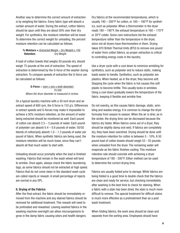Another way to determine the correct amount of extraction is by weighing the fabrics. Every fabric type will absorb a certain amount of water. During the extract, cotton fabrics should be spun until they are about 50% over their dry weight. For synthetics, the moisture retention will be lower. To determine the correct weight for unloading, the percent moisture retention can be calculated as follows:

#### % Moisture =  $(Extracted Weight - Dry Weight) \times 100$ Retention Dry Weight

A load of cotton towels that weighs 50 pounds dry, should weigh 75 pounds at the end of extraction. The speed of extraction is determined by the G-force of the washer during extraction. To compare speeds of extraction the G-force can be calculated as follows:

#### **G-Force** =  $\text{(rpm x rpm x shell diameter)}$  70,500 *Where the drum diameter is measured in inches.*

On a typical laundry machine with a 30 inch drum and an extract speed of 600 rpm, the G force is 153 g's. Differences in extract speeds and G-forces may make it impossible to achieve a 50% moisture retention, so the amount of water being extracted should be monitored as well. Each pound of cotton can absorb 2.5 – 3 pounds of water. Each pound of polyester can absorb 0.4 – 0.6 pounds of water. 50/50 blends of cotton/poly absorb  $1.0 - 1.3$  pounds of water per pound of fabric. When synthetic fabrics are being used, the moisture retention will be much lower, since they can't absorb all that much water to start with.

Unloading should occur promptly when the load is finished washing. Fabrics that remain in the wash wheel will tend to wrinkle. Once again, always check the fabric laundering tags, as some fabrics should not be extracted at high speed. Fabrics that do not come clean in the standard wash cycle are called rejects or rewash. A small percentage of rejects are normal in any OPL.

# 6. Drying of the Fabrics

After the final extract, the fabric should be immediately removed from the machine and any stained fabrics should be removed for additional treatment. This rewash will need to be pretreated and rewashed. Leaving washed fabrics in the washing machine overnight can allow microorganisms to grow in the damp fabric causing odors and health dangers.

Dry fabrics at the recommended temperatures, which is usually 180 – 200°F for cotton, or 160 – 180°F for synthetics, such as polyester. When a thermometer in the dryer reads  $180 - 190$ °F, the exhaust temperature is  $160 - 170$ °F or 20°F colder. Some care instructions list the exhaust temperature rather than the temperature in the dryer, since not all dryers have thermometers in them. Drying takes 970 British Thermal Units (BTU) to remove one pound of water from cotton fabrics, so proper extraction is critical to controlling energy costs in the laundry.

Use a dryer cycle with a cool down to minimize wrinkling for synthetics, such as polyester and to reduce static, making loads easier to handle. Synthetics, such as polyester are plastics. When heated, as in the dryer, they become soft. Stopping the cycle when the fabric is hot causes this soft plastic to become brittle. This usually locks in wrinkles. Using a cool down gradually lowers the temperature of the fabric, keeping it flexible and wrinkle free.

Do not overdry, as this causes fabric damage, static, wrinkling and wastes energy. It is common to change the dryer formulas from season to season. When the air is drier, as in the winter, the drying time can be decreased because the fabrics dry faster. When fabrics come out of a dryer, they should be slightly damp (not wet). If fabrics are completely dry, they have been overdried. Drying should be done until the moisture retention for cotton is between 5 - 10%. A 50 pound load of cotton towels should weigh 53 - 55 pounds when unloaded from the dryer. The remaining water will evaporate as the fabric finishes cooling. This moisture retention rate should coincide with achieving a dryer temperature of 180 - 200°F. Either method can be used to determine the correct drying time.

Fabrics are usually folded prior to storage. While fabrics are being folded is a good time to double check that the fabrics are clean and ready for service, but checking immediately after washing is the best time to check for staining. When a fabric with a stain has been dried, the stain is much more difficult to remove. The special treatment for difficult stains is much more effective as a pretreatment than as a post wash treatment.

When folding fabrics, the work area should be clean and separate from the sorting area. Employees should have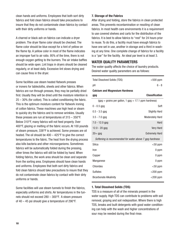clean hands and uniforms. Employees that both sort dirty fabrics and fold clean fabrics should take precautions to insure that they do not contaminate clean fabrics by contact with their dirty uniforms or hands.

A charred or black ash on fabrics can indicate a dryer problem. The dryer flame color should be checked. The flame color should be blue except for a hint of yellow on the flame tip. A yellow color in most of the flame indicates an improper fuel to air ratio. 95% of the time, there is not enough oxygen getting to the burners. The air intake baffles should be wide open. Lint traps in dryers should be cleaned regularly, or at least daily. Excessive lint slows drying and can cause fires in the dryer.

Some facilities use steam heated flatwork presses or ironers for tablecloths, sheets and other fabrics. When fabrics are run through presses, they may be partially dried first. Usually they will be dried until the moisture retention is 25 – 30% (for cotton). This is called conditioning the fabric. This is the optimum moisture content for flatwork ironing of cotton fabrics. These machines use high heat or steam to quickly dry the fabrics and to remove wrinkles. Usually these presses are run at temperatures of 315 – 350°F. Below 310°F, many fabrics will not feed properly. Over 400°F, glazing or melting of the fabric occurs. At 100 pounds of steam pressure, 338°F is achieved. Some presses are oil heated. The oil should be 400 – 425°F to give the correct temperatures to the fabric. The heat from the drying process also kills bacteria and other microorganisms. Sometimes fabrics will be automatically folded during the pressing, other times the fabrics will still be folded by hand. When folding fabrics, the work area should be clean and separate from the sorting area. Employees should have clean hands and uniforms. Employees that both sort dirty fabrics and fold clean fabrics should take precautions to insure that they do not contaminate clean fabrics by contact with their dirty uniforms or hands.

Some facilities will use steam tunnels to finish the fabrics, especially uniforms and shirts. Air temperatures in the tunnels should not exceed 280 – 300°F. A steam pressure of 40 – 45 psi should give a temperature of 290°F.

# 7. Storage of the Fabrics

After drying and folding, store the fabrics in clean protected areas. This prevents recontamination or resoiling of clean fabrics. In most health care environments it is a requirement to use covered shelves and carts for the distribution of the fabrics. It is best to allow fabrics to "rest" for 24 hours prior to reuse. To do this, a facility must have enough fabrics to have one set in use, another in storage and a third in washing at any time. One complete change of fabrics for a facility is a "par" for the facility. An ideal par level is at least 3.

# WATER QUALITY PARAMETERS

The water quality affects the choice of laundry products. Desired water quality parameters are as follows:

| <b>Total Dissolved Solids (TDS)</b>                     | $<$ 500 ppm            |
|---------------------------------------------------------|------------------------|
| рH                                                      | $6 - 8$                |
| <b>Calcium and Magnesium Hardness</b>                   |                        |
| gpg                                                     | <b>Classification</b>  |
| $(gpg = grains per gallon, 1 gpg = 17.1 ppm hardness)$  |                        |
| $0 - 0.5$ gpg                                           | Soft                   |
| $0.5 - 3.5$ gpg                                         | <b>Slightly Hard</b>   |
| $3.5 - 7.0$ gpg                                         | <b>Moderately Hard</b> |
| $7.0 - 12.0$ gpg                                        | Hard                   |
| $12.0 - 20$ gpg                                         | <b>Very Hard</b>       |
| $20+$ gpg                                               | <b>Extremely Hard</b>  |
| Softening is recommended for water above 7 gpg hardness |                        |
| Silica                                                  | $<$ 50 ppm             |
| Iron                                                    | 0 ppm                  |
| Copper                                                  | 0 ppm                  |
| Manganese                                               | 0 ppm                  |
| Chlorides                                               | $<$ 50 ppm             |
| <b>Sulfates</b>                                         | $<$ 200 ppm            |
| <b>Bicarbonate Alkalinity</b>                           | $<$ 200 ppm            |

# 1. Total Dissolved Solids (TDS)

TDS is a measure of all of the minerals present in the water supply. High TDS can contribute to problems with soil removal, graying and soil redeposition. Where there is high TDS, breaks and built detergents with good water conditioning can help with the wash and higher concentrations of sour may be needed during the final rinse.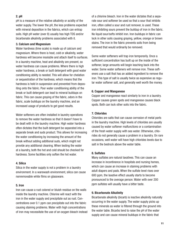# 2. pH

pH is a measure of the relative alkalinity or acidity of the water supply. The lower the pH, the less problems expected with mineral deposition in the fabrics, which can entrap soils. High pH water (over 8) usually has high TDS and/or bicarbonate alkalinity problems associated with it.

## 3. Calcium and Magnesium

Water hardness (lime scale) is made up of calcium and magnesium. Where there is heat, cold or alkalinity, water hardness will become insoluble and attach itself to surfaces. In a laundry machine, heat and alkalinity are present, so water hardness can cause problems. Where there is high water hardness, a break or built detergent with good water conditioning ability is needed. This will allow for chelation or sequestration of the hardness, which means that the hardness is held in suspension and prevented from depositing onto the fabric. Poor water conditioning ability of the break or built detergent can lead to mineral buildups on fabric. This can cause graying of the fabric, odors in the fabric, scale buildups on the laundry machine, and an increased usage of products to get good results.

Water softeners are often installed in laundry operations to remove the water hardness so that it doesn't have to be dealt with in the laundry machine. High water hardness often dictates that the built detergent be separated into a separate break and suds product. This allows for increasing the water conditioning by increasing the amount of the break without adding additional suds, which might not provide any additional cleaning. When testing the water at a laundry, both the hot and cold should be checked for hardness. Some facilities only soften the hot water.

# 4. Silica

Silica in the water supply is not a problem in a laundry environment. In a warewash environment, silica can cause nonremovable white films on glassware.

# 5. Iron

Iron can cause a rust colored or bluish residue on the walls inside the laundry machine. Chlorine will react with the iron in the water supply and precipitate out as rust. Concentrations over 0.1 ppm can precipitate out into the fabric causing staining problems. Water with high concentrations of iron may necessitate the use of an oxygen bleach instead of a chlorine bleach. Iron in the water dictates that a separate sour and softener be used so that a sour that inhibits iron, often called a sour and rust remover, is used. These iron inhibiting sours prevent the buildup of iron in the fabric. No liquid sour/softs inhibit iron. Iron buildups in fabric can lock in other soils causing graying, yellow, orange or brown stains. The iron in the fabric prevents soils from being removed that would ordinarily be removed.

Some water softeners will trap iron temporarily. Once a sufficient concentration has built up on the inside of the softener, large amounts will begin leaching back into the water. Some water softeners will remove iron. These softeners use a salt that has an added ingredient to remove the iron. This type of salt is usually twice as expensive as regular water softener salt, and generally well worth the money.

## 6. Copper and Manganese

Copper and manganese react similarly to iron in a laundry. Copper causes green spots and manganese causes black spots. Both can lock other soils into the fabric.

# 7. Chlorides

Chlorides are salts that can cause corrosion of metal parts in the laundry machine. High levels of chlorides are usually caused by water softener malfunctions or a contamination of the fresh water supply with sea water. Otherwise, chlorides do not generally cause a problem in a laundry. On rare occasions, well water will have high chlorides levels due to salt in the bedrock above the water table.

# 8. Sulfates

Many sulfates are natural laxatives. This can cause an increase in incontinence in hospitals and nursing homes, which can cause an increase in staining problems with adult diapers and pads. When the sulfate level rises over 600 ppm, the laxative effect usually starts to become pronounced to the average person. Water with over 200 ppm sulfates will usually have a bitter taste.

# 9. Bicarbonate Alkalinity

Bicarbonate alkalinity (bicarb) is inactive alkalinity naturally occurring in the water supply. The water supply picks up these minerals as water is filtered through the ground into the water table. Bicarbs tend to raise the pH of the water supply and can cause mineral buildups in the fabric that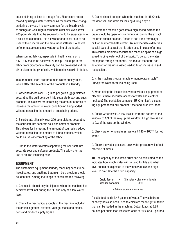cause staining or lead to a rough feel. Bicarbs are not removed by using a water softener. As the water table changes during the year, it is very common for the bicarb levels to change as well. High bicarbonate alkalinity levels (over 200 ppm) dictate that the sour/soft should be separated into a sour and a softener. This allows for additional sour to be used without increasing the amount of softener. Excessive softener usage can cause waterproofing of the fabric.

When souring fabrics, especially in health care, a pH of 5.5 – 6.5 should be achieved. At this pH, buildups in the fabric from bicarbonate alkalinity can be prevented and the pH is close to the pH of skin, which minimizes skin irritation.

To summarize, there are three main water quality rules, which affect the selection of the products in a laundry.

1. Water hardness over 12 grains per gallon (gpg) dictates separating the built detergent into separate break and suds products. This allows for increasing the amount of break to increase the amount of water conditioning being added without increasing the amount of suds being added.

2. Bicarbonate alkalinity over 200 ppm dictates separating the sour/soft into separate sour and softener products. This allows for increasing the amount of sour being added without increasing the amount of fabric softener, which could cause waterproofing of the fabric.

3. Iron in the water dictates separating the sour/soft into separate sour and softener products. This allows for the use of an iron inhibiting sour.

# EQUIPMENT

The customer's equipment (laundry machine) needs to be investigated, and anything that might be a problem should be identified. Among the things to check are the following:

1. Chemicals should only be injected when the machine has achieved level, not during the fill, and only at a low water level.

2. Check the mechanical aspects of the machine including the drains, agitation, extracts, voltage, make and model, belts and product supply signals.

3. Drains should be open when the machine is off. Check the door seal and drain for leaking during a cycle.

4. Before the machine goes into a high speed extract, the drain should be open for one minute. All during the extract the drain should be open. Check to see if the formula(s) call for an intermediate extract. An intermediate extract is a special type of extract that is often used in place of a rinse. This causes problems because the machine spins at a high speed forcing water out of the fabric. To do so, the water must pass through the fabric. This makes the fabric act as a filter for the rinse water, leading to an increase in soil redeposition.

5. Is the machine programmable or nonprogrammable? Survey the wash formulas being used.

6. When doing the installation, where will our equipment be placed? Is there adequate access to water and electrical hookups? The peristaltic pumps on US Chemical's dispensing equipment can pull product 6 feet and push it 20 feet.

7. Check water levels. A low level is from the bottom of the window to 1/3 of the way up the window. A high level is half to 2/3 of the way up the window.

8. Check water temperatures. We want 140 – 160°F for hot water.

9. Check the water pressure. Low water pressure will affect machine fill times.

10. The capacity of the wash drum can be calculated as this indicates how much water will be used for fills and what level should be expected in the window at low and high level. To calculate the drum capacity:

> **Cubic feet of**  $=$  (diameter x diameter x length) washer capacity 2200

#### *All dimensions are in inches*

A cubic foot holds 7.48 gallons of water. The wash drum capacity has also been used to calculate the weight of fabric that can be loaded in the machine. Cotton loads at 5.25 pounds per cubic foot. Polyester loads at 80% or 4.2 pounds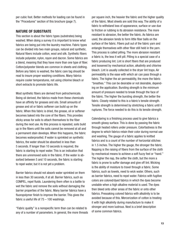per cubic foot. Better methods for loading can be found in the "Procedures" section of this brochure (page 7).

# NATURE OF SUBSTRATE

This section is about the fabric types (substrates) being washed. When doing a survey it is important to know what fabrics are being put into the laundry machine. Fabric types can be divided into two main groups, natural and synthetic. Natural fibers include cotton, wool and silk. Synthetic fibers include polyester, nylon, rayon and dacron. Some fabrics are a blend, meaning that they have more than one type of fiber. Cotton/polyester blends are common in sheets and clothing. Before any fabric is washed, the fabric care tag should be read to insure proper washing conditions. Many fabrics require cooler temperatures, not using chlorine bleach or short extracts to promote fabric life.

Most synthetic fibers are derived from petrochemicals. Being oil derived, the fabrics made from these chemicals have an affinity for greases and oils. Small amounts of grease and oil or fabric softener can build up on the fabric. When this fabric is dried, the grease, oil or softener becomes baked into the core of the fibers. This provides sticky areas for soils to attach themselves to the fiber during the next use. As this process is repeated, soils build up in the fibers until the soils cannot be removed at all and a permanent stain develops. When this happens, the fabric becomes waterproofed. If water is sprinkled on synthetic fabrics, the water should be absorbed in less than 5 seconds. If longer than 10 seconds is required, the fabric is starting to repel water. This is an indication that there are unremoved soils in the fabric. If the water is absorbed between 5 and 10 seconds, the fabric is starting to repel water, but it is not yet a problem.

Barrier fabrics should not absorb water sprinkled on them in less than 30 seconds, if at all. Barrier fabrics, such as COMPEL, repel fluids. Laundering them often is a battle to wet the fabric and remove the soils without damaging the barrier properties of the fabric. Many barrier fabrics have a fluoropolymer finish to improve the barrier. This gives the fabric a useful life of 75 – 100 washings.

"Fabric quality" is a nonspecific term than can be related to any of a number of parameters. In general, the more threads

per square inch, the heavier the fabric and the higher quality of the fabric. Most sheets are sold this way. The ability of a fabric to withstand loss of appearance, surface or use due to friction or rubbing is its abrasion resistance. The more resistant to abrasion, the better the fabric. As fabrics are used, the abrasion tends to form little fiber balls on the surface of the fabric. Fibers pull out of the fabric yarn and entangle themselves with other fiber still held in the yarn. This process is called pilling. The more abrasion resistant a fabric is, the less it will pill. Pilling is a special case of a fabric producing lint. Lint is short fibers that are produced and loosened by mechanical action, alkalinity and chlorine bleach. Lint is usually collected in the dryer lint traps. Air permeability is the ease with which air can pass through a fabric. The higher the air permeability, the more the fabric "breathes." This can be desirable or not desirable, depending on the application. Bursting strength is the minimum amount of pressure needed to break through the face of the fabric. The higher the bursting strength, the better the fabric. Closely related to this is a fabric's tensile strength. Tensile strength is determined by stretching a fabric until it ruptures. The force needed to do this is its tensile strength.

Calendaring is a finishing process used to give fabrics a smooth glossy surface. This is done by passing the fabric through heated rollers under pressure. Colorfastness is the degree to which fabrics retain their color during normal use and washing. The gauge of a fabric applies to knitted fabrics and is a count of the number of horizontal stitches in 1.5 inches. The higher the gauge, the stronger the fabric. Napping is the raising of fibers from the surface of the cloth by mechanical means to achieve a soft fuzzy feel or "hand." The higher the nap, the softer the cloth, but the more a fabric is prone to suffer damage and give off lint. Wicking is the ability of moisture to travel through a fabric. Some fabrics, such as towels, need to wick water. Others, such as barrier fabrics, need to repel water. Fabrics with fugitive colors are colored/dyed fabrics in which the dyes become unstable when a high alkaline material is used. The dyes then bleed onto other areas of the fabric or onto other fabrics. Presoaking colored fabrics with alkalinity is to be avoided because of this. Mercerization of cotton is treating it with high alkalinity during manufacture to make it stronger and more lustrous. Next is a brief description of some common fabrics.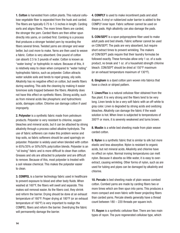1. Cotton is harvested from cotton plants. This natural cellulose vegetable fiber is separated from the husk and carded. The fibers are typically 0.75 to 1.5 inches in length. Carding sorts and aligns fibers. The more times fibers are carded, the stronger the yarn. Carded fibers are then either spun directly into yarns, or combed first. Combing is a process that produces a stronger twisted yarn by recarding the fibers several times. Twisted yarns are stronger and wear better, but cost more to make. Yarns are then used to weave a fabric. Cotton is very absorbent. One pound of cotton can absorb 2.5 to 3 pounds of water. Cotton is known as "water loving" or hydrophilic in nature. Because of this, it is relatively easy to clean when compared to "water hating" hydrophobic fabrics, such as polyester. Cotton attracts water soluble soils and tends to repel greasy, oily soils. Alkalinity has no negative effect on cotton, but swells fibers during washing. This aids the cleaning by making it easier toremove soils trapped between the fibers. Alkalinity does not have this effect on synthetic fibers. Strong acidity, such as from mineral acids like phosphoric and hydrochloric acids, damages cotton. Chlorine can damage cotton if used improperly.

2. Polvester is a synthetic fabric made from petroleum products. Polyester is very resistant to chlorine, oxygen bleaches and mineral acids, but it can be attacked by strong alkalinity through a process called alkaline hydrolysis. The use of fabric softeners can make this problem worse and trap soils, so fabric softeners should be used sparingly on polyester. Polyester is widely used when blended with cotton in 65%/35% or 50%/50% poly/cotton blends. Polyester is an "oil loving" fabric and is more difficult to clean than cotton. Greases and oils are attracted to polyester and are difficult to remove. Because of this, most polyester is treated with a soil release chemical. This makes the polyester easier to clean.

3. COMPEL is a barrier technology fabric used in healthcare to prevent exposure to blood and other body fluids. When washed at 160°F, the fibers will swell and separate. This makes soil removal easier. As the fibers cool, they shrink and reform the barrier. Drying should be done at an exhaust temperature of 160°F. Proper drying at 180°F (or an exhaust temperature of 160°F) is very important to realign the COMPEL fibers and reform the barrier. Overdrying the fabric will permanently damage the barrier.

4. COMPLY is used to make incontinent pads and adult diapers. A vinyl or rubberized outer barrier is added to the COMPLY inner layer. Fabric softener cannot be used on these pads. High alkalinity can also damage the pads.

5. CON/SEPT is a spun polypropylene fiber used to make adult pads and bed sheets. Fabric softener cannot be used on CON/SEPT. The pads are very absorbent, but require short extract times to prevent wrinkling. The makers of CON/SEPT pads require that their laundry formulas be followed exactly. These formulas allow only 1 oz. of a suds product, no break and 1 oz .of a household strength chlorine bleach. CON/SEPT should be dried at 150°F maximum (or an exhaust temperature maximum of 130°F).

6. Gingham is a dyed cotton yarn woven into fabrics that have a check or striped pattern.

7. Linen/Flax is a natural cellulose fiber obtained from the flax plant. It is very strong and the fibers tend to be very long. Linen tends to be a very soft fabric with an off-white to gray color. Linen is degraded by strong acids and oxidizing bleaches. Alkalinity can damage the fabric if the wash solution is hot. When linen is subjected to temperatures of 300°F or more, it is severely weakened and turns brown.

8. Muslin is a white bed sheeting made from plain weave carded cotton.

**9. Nylon** is a synthetic fabric that is similar to silk but more elastic and less absorptive. Nylon is resistant to organic acids, but not mineral acids. Alkalinity and chlorine have no effect on nylon. Normal ironing temperatures can melt nylon. Because it absorbs so little water, it is easy to overextract, causing wrinkling. Other forms of nylon, such as are used for tubing and pipes can be damaged by alkalinity and chlorine.

10. Percale is bed sheeting made of plain weave combed cotton. Combed yarns are made by carding fibers two or more times which are then spun into yarns. This produces a more compact and even fabric with fewer projecting fibers than carded yarns. Percale sheets generally have a thread count between 180 – 220 threads per square inch.

11. Ravon is a synthetic cellulose fiber. There are two main types of rayon. The pure regenerated cellulose type, which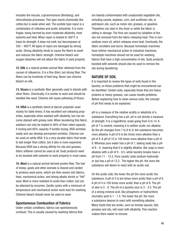includes the viscose, cuprammonium (Bemberg), and nitrocellulose processes. This type reacts chemically like cotton,but is weak when wet. The acetate type rayon is a combination of cellulose and acetic anhydride. It is more fragile, being harmed by even moderate alkalinity, most solvents and heat. When rayon is heated to 300°F, it loses its strength. It does not melt, but decomposes at 350 – 400°F. All types of rayon are damaged by strong acids. Strong alkalinity tends to cause the fibers to swell and reduces the fabric strength. Chlorine bleach and oxygen bleaches will not attack the fabric if used properly.

12. Silk is a natural protein animal fiber obtained from the cocoon of silkworms. It is a fine (thin), but strong fiber. The fibers can be hundreds of feet long. Never use chlorine bleach on silk.

13. Vicara is a synthetic fiber generally used in blends with other fibers. Chemically, it is similar to wool and should be handled like wool. Chlorine will cause yellowing of Vicara.

14. VISA is a synthetic blend of dacron polyester used mainly for table linens. It has excellent soil releasing properties, especially when washed with alkalinity, but can become stained with greasy soils. When laundering this fabric, washers can only be loaded to 90% of their rated capacity if ironing and 60% capacity if tumble drying. VISA wrinkles easily and can develop permanent wrinkles. Chlorine can be used on white VISA. It is a very durable fabric that tends to last longer than cotton, but it also is more expensive. Because VISA has a strong affinity for oils and greases, fabric softener cannot be used at all. Suds products need to be boosted with solvents to work properly in most cases.

15. Wool is a natural animal derived protein fiber. The hair of sheep, goats and other animals is shaved and carded to produce wool yarns, which are then woven into fabrics. Heat, mechanical action, and strong alkalis shrink or "felt" wool. Wool is more resistant to acids than cotton, but can be attacked by enzymes. Gentle cycles with a minimum of temperature and mechanical action work best for washing. Chlorine bleach should never be used on wool.

# Spontaneous Combustion of Fabrics

Under certain conditions, fabrics can spontaneously combust. This is usually caused by washing fabrics that

are heavily contaminated with unsaturated vegetable oils, including canola, soybean, corn, and sunflower oils, or petroleum oils, such as motor oils, greases, or gasoline. Thesefires can start in the dryer or while the fabric is sitting in storage. The fires are caused by oxidation of the oils not removed from the fabric releasing heat. This in turn oxidizes more oil, which releases more heat. Eventually, the fabric smolders and burns. Because homestyle machines have inferior mechanical action to industrial machines, homestyle machines should not be used for washing fabrics that have a high concentration of oils. Suds products boosted with solvents should also be used to remove the oils during laundering.

# NATURE OF SOIL

It is important to review the types of soils found in the laundry, so those problems that might be encountered can be identified. Certain soils, especially those that are heavy proteins or heavy greases, can cause results problems. Before explaining how to clean various soils, the concept of pH first needs to be explained.

pH is a measure of the relative acidity or alkalinity of a substance. Everything has a pH. pH is not strictly a measure of strength. It is a logarithmic scale going from 0 to 14. A pH of 7 is neutral, meaning it is neither acidic nor alkaline. As the pH changes from 7 to 8 to 9, the substance becomes more alkaline. A pH of 9 is ten times more alkaline than a pH of 8. A pH of 10 is 100 times more alkaline than a pH of 8. Whereas pure water has a pH of 7, baking soda has a pH of 8 - 9, meaning that it is slightly alkaline. Bar soap is more alkaline with a pH of 9 - 9.5, while laundry breaks have a pH from 11 - 12.5. Pure caustic soda (sodium hydroxide or lye) has a pH of 13.2. The higher the pH, the more the substance will desire to react with an acidic soil.

On the acidic side, the lower the pH the more acidic the substance. A pH of 5 is ten times more acidic than a pH of 6. A pH of 4 is 100 times more acidic than a pH of 6. The pH of skin is 5 - 6. The pH of a laundry sour is 3 - 3.5. The pH of a strong mineral acid, like phosphoric or hydrochloric (muriatic) acid is 1 - 1.5. The lower the pH, the more a substance desires to react with something alkaline. Many foods that are acidic, such as tomato sauces, fats, greases and oils, will react with alkalinity. This reaction makes them easier to remove.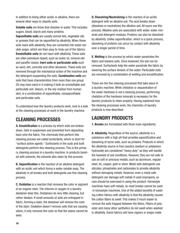In addition to being either acidic or alkaline, there are several other ways to classify soils:

Soluble soils are those that dissolve in water. This includes: sugars, blood, starch and many proteins.

Saponifiable soils are usually animal fats, vegetable oils or greases that can be saponified by alkalinity. When these soils react with alkalinity, they are converted into water soluble soaps, which are then easy to rinse out of the fabrics. Emulsifiable soils do not react with alkalinity. These soils are often petroleum based, such as motor oil, mineral oils and paraffin waxes. Inert soils or particulate soils such as sand, dirt, concrete and other abrasives. These soils are removed through the mechanical action of the machine and the detergent suspending the soils. Combination soils are soils that have characteristics from more than one group. Oil may have sand in it making it both an emulsifiable and particulate soil. Sebum, or the oily residue from human skin, is a combination of saponifiable, nonsaponifiable and particulate soils.

To understand how the laundry products work, next is a look at the cleaning processes at work in the laundry machine.

# CLEANING PROCESSES

A. Emulsification is a process by which soils are broken down, held in suspension and prevented from depositing back onto the fabric. The chemicals that perform this cleaning process are called surfactants, which is short for "surface active agents." Surfactants in the suds and built detergents perform this cleaning process. This is the primary cleaning process in a laundry machine. In products boosted with solvents, the solvents also clean by this process.

B. Saponification is the reaction of an alkaline detergent with an acidic soil which forms a water soluble soap. The alkalinity in all breaks and built detergents use this cleaning process.

C. Oxidation is a reaction that removes the color or pigment of an organic stain. The chlorine or oxygen in a laundry destainer does this. Destainers do very little cleaning, but rather destain. If small amounts of soils are entrapped in fabric, forming a stain, the destainer will remove the color of the stain. Oxidation doesn't remove soils that are causing stains, it only removes the color so that the stains cannot be seen.

D. Dissolving/Neutralizing is the reaction of an acidic detergent with an alkaline soil. The acid breaks down (dissolves or neutralizes) the alkaline soil. All sours use this process. Alkaline soils are associated with water, water minerals and detergent residues. Proteins can also be dissolved by alkalinity. Unlike saponification, which is a quick process, dissolving of proteins can occur by contact with alkalinity over a longer period of time.

E. Wetting is the process by which water penetrates the fabric and loosens soils. Once loosened, the soil can be removed. Surfactants help the water penetrate the fabric by lowering the surface tension of the water. Particulate soils are removed by a combination of wetting and emulsification.

These are the five cleaning processes that take place in a laundry machine. While chelation or sequestration of the water hardness is not a cleaning process, performing chelation of the hardness minerals is necessary for the laundry products to clean properly. Having explained how the cleaning processes work, the chemistry of laundry products is now described.

# LAUNDRY PRODUCTS

**1. Breaks** are formulated with three main ingredients.

A. Alkalinity. Regardless of the source, alkalinity is a substance with a high pH that provides saponification and dissolving of some soils, such as proteins. Products in which the alkalinity source is free caustics (sodium or potassium hydroxide) are considered "heavy duty" as they will handle the heaviest of soil conditions. However, they are not safe to use on soft or precious metals, such as aluminum, regular steel, tin, copper, gold or silver. Metal safe detergents use silicates, phosphates and carbonates to provide alkalinity without damaging metals. However, even a metal safe detergent can damage soft metals if used improperly, so care should be exercised in using the product. Homestyle machines have soft metals, so most breaks cannot be used in homestyle machines. One of the added benefits of washing cotton fabrics with alkalinity is that the alkalinity causes the cotton fibers to swell. This makes it much easier to remove the soils trapped between the fibers. Fibers of polyester and many other synthetics do not swell when washed in alkalinity. Some fabrics will have zippers or snaps made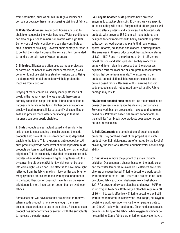from soft metals, such as aluminum. High alkalinity can corrode or degrade these metals causing staining of fabrics.

B. Water Conditioners. Water conditioners are used to chelate or sequester the water hardness. Water conditioners can also help suspend minerals in waters with high TDS. Some types of water conditioners can also contribute a small amount of alkalinity. However, their primary purpose is to control the water hardness. Breaks are often formulated to handle a certain level of water hardness.

C. Silicates. Silicates are often used as metal protectors or corrosion inhibitors. In older laundry machines, it was common to not use stainless steel for various parts. Using a detergent with metal protectors will help protect the machine from corrosion.

Graying of fabric can be caused by inadequate levels of break in the laundry machine. As a result there can be partially saponified soaps left in the fabric, or a buildup of hardness minerals in the fabric. Higher concentrations of break will add more alkalinity to saponify all saponifiable soils and provide more water conditioning so that the hardness can be properly chelated.

2. Suds products are surfactant based and emulsify the soils present. In suspending the soils present, the suds products help prevent the soils from becoming deposited back into the fabric. This is known as antiredeposition. All suds products provide some level of antiredeposition. Suds products contain an additional chemical known as an optical brightener. This is essentially a dye that makes clothes look brighter when under fluorescent lights. Brighteners do this by converting ultraviolet (UV) light, which cannot be seen, into visible light, which can. The effect is to have more light reflected from the fabric, making it look whiter and brighter. Many synthetic fabrics are made with optical brighteners in the fabric fiber. Cotton does not have this, so the use of brighteners is more important on cotton than on synthetic fabrics.

Some accounts will have soils that are difficult to remove. When a suds product is not strong enough, there are boosted suds products to use in their place. A boosted suds product has either enzymes or solvents with the surfactants to increase the performance.

3A. Enzyme boosted suds products have protease enzymes to attack protein soils. Enzymes are very specific in the soils they will attack. Enzymes that attack grease will not also attack proteins and vice versa. The boosted suds products with enzymes U S Chemical manufactures are designed for environments with heavy amounts of protein soils, such as food processing plants that handle meat, sports uniforms, adult pads and diapers in nursing homes. The enzymes in these products work best at temperatures of  $130 - 150$ °F and in the pH range of  $9 - 11$ . Enzymes digest the soils and stains present, so they work by an entirely different cleaning process than the processes explained thus far. Wool and silk are protein based natural fabrics that come from animals. The enzymes in the products cannot distinguish between protein soils and protein based fabrics. Because of this, enzyme boosted suds products should not be used on wool or silk. Fabric damage may result.

**3B. Solvent boosted suds** products use the emulsification power of solvents to enhance the cleaning performance. Solvents work best on grease, oils, makeup and petroleum based oils. Petroleum based oils are not saponifiable, so thealkalinity from break type products does a poor job on petroleum based oils.

4. Built Detergents are combinations of break and suds products. They combine most of the properties of each product type. Built detergents are often rated by the level of alkalinity, the level of surfactant and their water conditioning ability.

5. Destainers remove the pigment of a stain through oxidation. Destainers are chosen based on the fabric color and the water temperature available. Destainers are either chlorine or oxygen based. Chlorine destainers work best in water temperatures of  $140 - 160$ °F, but are not to be used on colored fabrics. Oxygen destainers work best above 120°F for powdered oxygen bleaches and above 160°F for liquid oxygen bleaches. Both oxygen bleaches require a pH of 10 – 11 to work effectively. Chlorine destainers will still work if the temperature is below the ideal range, but oxygen destainers work very poorly once the temperature gets to be 10 to 20° below the ideal range. Chlorine destainers also provide sanitizing of the fabric, while oxygen destainers do no sanitizing. Some fabrics are chlorine retentive, or have a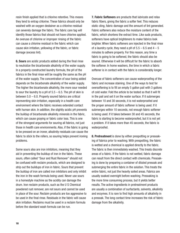resin finish applied that is chlorine retentive. This means they tend to entrap chlorine. These fabrics should only be washed with an oxygen destainer as a chlorine residual can severely damage the fabric. The fabric care tag will identify those fabrics that should not have chlorine applied. An overuse of chlorine or improper rinsing of the fabric can cause a chlorine residual in the fabric which can cause skin irritation, yellowing of the fabric, or fabric damage (excess lint).

6. Sours are acidic products added during the final rinse to neutralize the bicarbonate alkalinity of the water supply. In a properly constructed laundry formula, the pH of the fabrics in the final rinse will be roughly the same as the pH of the water supply. The concentration of sour being added depends on the bicarbonate alkalinity of the water supply. The higher the bicarbonate alkalinity, the more sour needed to sour the laundry to a pH of  $5.5 - 6.5$ . The pH of skin is between 5.0 – 6.0. Properly soured fabrics are critical inpreventing skin irritation, especially in a health care environment where the fabric receives extended contact with human skin. In addition, the slightly acidic pH prevents the buildup of bicarbonate alkalinity minerals in the fabric, which can cause graying or fabric color loss. This is one of the strongest arguments for souring all fabrics, not just those in health care environments. Also, if the fabric is going to be pressed on an ironer, alkalinity residuals can cause the fabric to stick to the rollers, so souring helps prevent ironing problems.

Some sours also are iron inhibitors, meaning that they aid in preventing the buildup of iron in the fabric. These sours, often called "Sour and Rust Remover" should not be confused with reclaim products, which are designed to strip out the buildups of iron in fabric. Sours that prevent the buildup of iron are called iron inhibitors and only inhibit the iron in the wash formula being used. Never use sours in a homestyle machine as the acidity can damage the drum. Iron reclaim products, such as the U S Chemical powdered rust remover, are not sours and cannot be used in place of the sour. Reclaim products are too aggressive to be used in the final rinse. Residuals in the fabric will cause skin irritation. Reclaims must be used in a reclaim formula before the standard wash formula can be run.

**7. Fabric Softeners** are products that lubricate and relax fabric fibers, giving the fabric a softer feel. This reduces static cling, fabric damage and the amount of lint generated. Fabric softeners also reduce the moisture content of the fabric, which shortens the extract time. Like suds products, softeners have optical brighteners to make fabrics look brighter. When fabric softeners are injected in the final rinse of a laundry cycle, they need a pH of  $5.5 - 6.5$  and  $4 - 5$ minutes to adhere properly. For this reason, any time a fabric is going to be softened, the fabric should also be soured. Otherwise it will be difficult for the fabric to absorb the softener. In home washers, the time in which a fabric softener is in contact with the fabric is considerably longer.

Overuse of fabric softeners can cause waterproofing of the fabric and increase staining. One of the ways to test for oversoftening is to fill an empty 5 gallon pail with 3 gallons of cold water. Fold the article to be tested so that it will fit in the pail and set it on the water surface. If it submerges between 10 and 30 seconds, it is not waterproofed and the proper amount of fabric softener is being used. If it submerges within 10 seconds, not enough fabric softener is being used. If it takes between 30 and 45 seconds, the fabric is starting to become waterproofed, but it is not yet a problem. If it takes more than 45 seconds, the fabric is waterproofed.

8. Pretreatment is done by either prespotting or presoaking of fabrics prior to washing. With prespotting, the fabric is wetted and a chemical is applied directly to the fabric. The fabric is then immediately washed. This treats discrete areas of a fabric. If the fabric is not wetted, fabric damage can result from the direct contact with chemicals. Presoaking is done by preparing a container of diluted presoak and submerging the entire fabric in the solution. This treats the entire fabric, not just the heavily soiled areas. Fabrics are usually soaked overnight before washing. Presoaking is the more time consuming process, but it yields better results. The active ingredients in pretreatment products are usually a combination of surfactants, solvents, alkalinity and enzymes. It is rare to find high amounts of alkalinity in a presoak. The long contact time increases the risk of fabric damage from the alkalinity.